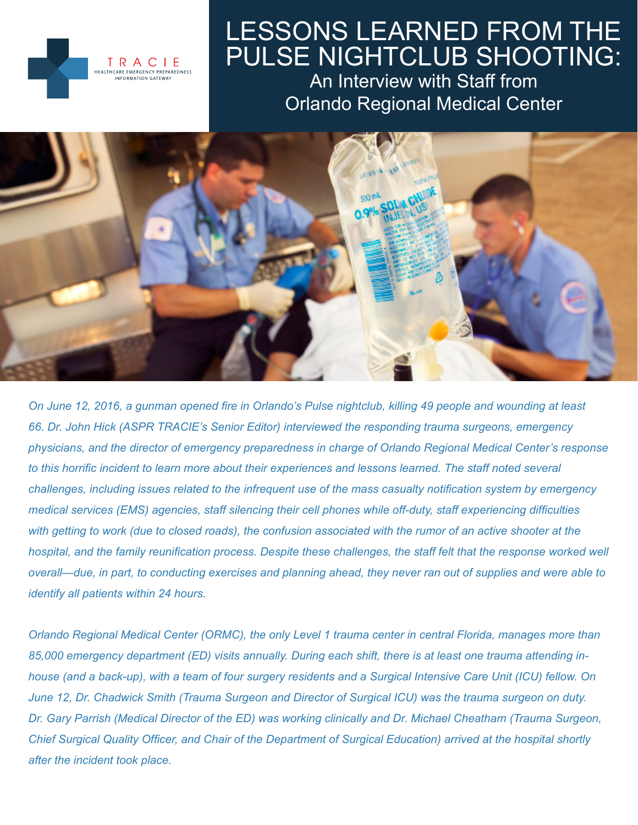

# LESSONS LEARNED FROM THE PULSE NIGHTCLUB SHOOTING:

An Interview with Staff from Orlando Regional Medical Center



*On June 12, 2016, a gunman opened fire in Orlando's Pulse nightclub, killing 49 people and wounding at least 66. Dr. John Hick (ASPR TRACIE's Senior Editor) interviewed the responding trauma surgeons, emergency physicians, and the director of emergency preparedness in charge of Orlando Regional Medical Center's response to this horrific incident to learn more about their experiences and lessons learned. The staff noted several challenges, including issues related to the infrequent use of the mass casualty notification system by emergency medical services (EMS) agencies, staff silencing their cell phones while off-duty, staff experiencing difficulties with getting to work (due to closed roads), the confusion associated with the rumor of an active shooter at the hospital, and the family reunification process. Despite these challenges, the staff felt that the response worked well overall—due, in part, to conducting exercises and planning ahead, they never ran out of supplies and were able to identify all patients within 24 hours.*

*Orlando Regional Medical Center (ORMC), the only Level 1 trauma center in central Florida, manages more than 85,000 emergency department (ED) visits annually. During each shift, there is at least one trauma attending inhouse (and a back-up), with a team of four surgery residents and a Surgical Intensive Care Unit (ICU) fellow. On June 12, Dr. Chadwick Smith (Trauma Surgeon and Director of Surgical ICU) was the trauma surgeon on duty. Dr. Gary Parrish (Medical Director of the ED) was working clinically and Dr. Michael Cheatham (Trauma Surgeon, Chief Surgical Quality Officer, and Chair of the Department of Surgical Education) arrived at the hospital shortly after the incident took place.*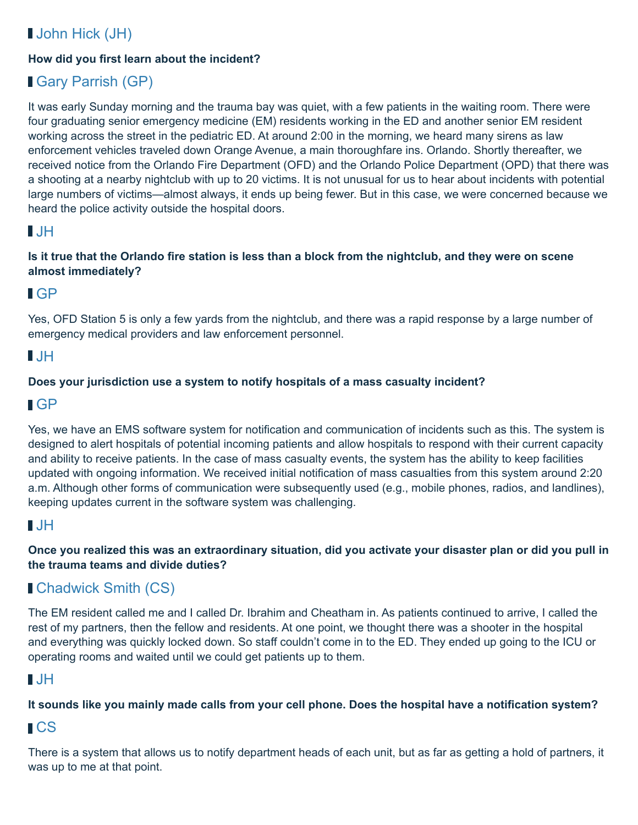# **John Hick (JH)**

#### **How did you first learn about the incident?**

# Gary Parrish (GP)

It was early Sunday morning and the trauma bay was quiet, with a few patients in the waiting room. There were four graduating senior emergency medicine (EM) residents working in the ED and another senior EM resident working across the street in the pediatric ED. At around 2:00 in the morning, we heard many sirens as law enforcement vehicles traveled down Orange Avenue, a main thoroughfare ins. Orlando. Shortly thereafter, we received notice from the Orlando Fire Department (OFD) and the Orlando Police Department (OPD) that there was a shooting at a nearby nightclub with up to 20 victims. It is not unusual for us to hear about incidents with potential large numbers of victims—almost always, it ends up being fewer. But in this case, we were concerned because we heard the police activity outside the hospital doors.

#### $\blacksquare$

#### **Is it true that the Orlando fire station is less than a block from the nightclub, and they were on scene almost immediately?**

#### GP

Yes, OFD Station 5 is only a few yards from the nightclub, and there was a rapid response by a large number of emergency medical providers and law enforcement personnel.

### $\blacksquare$

#### **Does your jurisdiction use a system to notify hospitals of a mass casualty incident?**

#### GP

Yes, we have an EMS software system for notification and communication of incidents such as this. The system is designed to alert hospitals of potential incoming patients and allow hospitals to respond with their current capacity and ability to receive patients. In the case of mass casualty events, the system has the ability to keep facilities updated with ongoing information. We received initial notification of mass casualties from this system around 2:20 a.m. Although other forms of communication were subsequently used (e.g., mobile phones, radios, and landlines), keeping updates current in the software system was challenging.

#### $\blacksquare$  JH

**Once you realized this was an extraordinary situation, did you activate your disaster plan or did you pull in the trauma teams and divide duties?**

# Chadwick Smith (CS)

The EM resident called me and I called Dr. Ibrahim and Cheatham in. As patients continued to arrive, I called the rest of my partners, then the fellow and residents. At one point, we thought there was a shooter in the hospital and everything was quickly locked down. So staff couldn't come in to the ED. They ended up going to the ICU or operating rooms and waited until we could get patients up to them.

#### $\blacksquare$ . IH

#### **It sounds like you mainly made calls from your cell phone. Does the hospital have a notification system?**

#### **∎CS**

There is a system that allows us to notify department heads of each unit, but as far as getting a hold of partners, it was up to me at that point.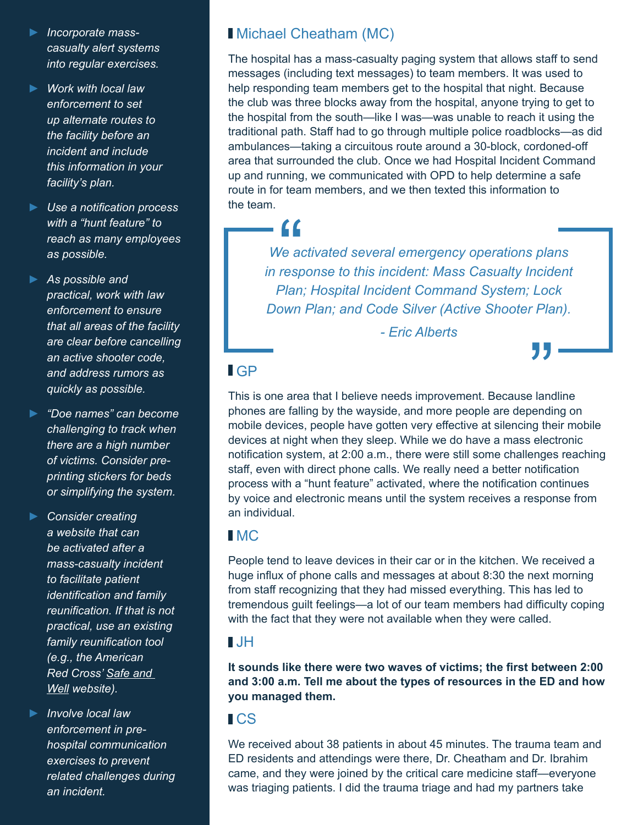- **►** *Incorporate masscasualty alert systems into regular exercises.*
- **►** *Work with local law enforcement to set up alternate routes to the facility before an incident and include this information in your facility's plan.*
- **►** *Use a notification process with a "hunt feature" to reach as many employees as possible.*
- **►** *As possible and practical, work with law enforcement to ensure that all areas of the facility are clear before cancelling an active shooter code, and address rumors as quickly as possible.*
- **►** *"Doe names" can become challenging to track when there are a high number of victims. Consider preprinting stickers for beds or simplifying the system.*
- **►** *Consider creating a website that can be activated after a mass-casualty incident to facilitate patient identification and family reunification. If that is not practical, use an existing family reunification tool (e.g., the American Red Cross' [Safe and](https://safeandwell.communityos.org/zf/safe/add)  [Well](https://safeandwell.communityos.org/zf/safe/add) website).*
- **►** *Involve local law enforcement in prehospital communication exercises to prevent related challenges during an incident.*

# Michael Cheatham (MC)

- 66

The hospital has a mass-casualty paging system that allows staff to send messages (including text messages) to team members. It was used to help responding team members get to the hospital that night. Because the club was three blocks away from the hospital, anyone trying to get to the hospital from the south—like I was—was unable to reach it using the traditional path. Staff had to go through multiple police roadblocks—as did ambulances—taking a circuitous route around a 30-block, cordoned-off area that surrounded the club. Once we had Hospital Incident Command up and running, we communicated with OPD to help determine a safe route in for team members, and we then texted this information to the team.

*We activated several emergency operations plans in response to this incident: Mass Casualty Incident Plan; Hospital Incident Command System; Lock Down Plan; and Code Silver (Active Shooter Plan).*

*- Eric Alberts*

# GP

This is one area that I believe needs improvement. Because landline phones are falling by the wayside, and more people are depending on mobile devices, people have gotten very effective at silencing their mobile devices at night when they sleep. While we do have a mass electronic notification system, at 2:00 a.m., there were still some challenges reaching staff, even with direct phone calls. We really need a better notification process with a "hunt feature" activated, where the notification continues by voice and electronic means until the system receives a response from an individual.

#### **IMC**

People tend to leave devices in their car or in the kitchen. We received a huge influx of phone calls and messages at about 8:30 the next morning from staff recognizing that they had missed everything. This has led to tremendous guilt feelings—a lot of our team members had difficulty coping with the fact that they were not available when they were called.

#### JH

**It sounds like there were two waves of victims; the first between 2:00 and 3:00 a.m. Tell me about the types of resources in the ED and how you managed them.**

### **ICS**

We received about 38 patients in about 45 minutes. The trauma team and ED residents and attendings were there, Dr. Cheatham and Dr. Ibrahim came, and they were joined by the critical care medicine staff—everyone was triaging patients. I did the trauma triage and had my partners take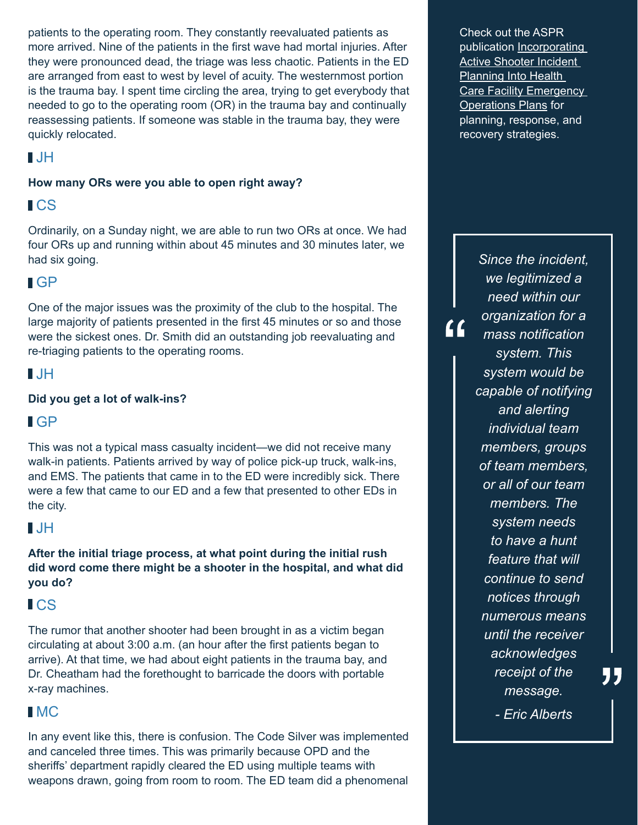patients to the operating room. They constantly reevaluated patients as more arrived. Nine of the patients in the first wave had mortal injuries. After they were pronounced dead, the triage was less chaotic. Patients in the ED are arranged from east to west by level of acuity. The westernmost portion is the trauma bay. I spent time circling the area, trying to get everybody that needed to go to the operating room (OR) in the trauma bay and continually reassessing patients. If someone was stable in the trauma bay, they were quickly relocated.

#### JH

#### **How many ORs were you able to open right away?**

#### CS

Ordinarily, on a Sunday night, we are able to run two ORs at once. We had four ORs up and running within about 45 minutes and 30 minutes later, we had six going.

### GP

One of the major issues was the proximity of the club to the hospital. The large majority of patients presented in the first 45 minutes or so and those were the sickest ones. Dr. Smith did an outstanding job reevaluating and re-triaging patients to the operating rooms.

# $\blacksquare$

#### **Did you get a lot of walk-ins?**

### GP

This was not a typical mass casualty incident—we did not receive many walk-in patients. Patients arrived by way of police pick-up truck, walk-ins, and EMS. The patients that came in to the ED were incredibly sick. There were a few that came to our ED and a few that presented to other EDs in the city.

### $\blacksquare$

**After the initial triage process, at what point during the initial rush did word come there might be a shooter in the hospital, and what did you do?**

### **ICS**

The rumor that another shooter had been brought in as a victim began circulating at about 3:00 a.m. (an hour after the first patients began to arrive). At that time, we had about eight patients in the trauma bay, and Dr. Cheatham had the forethought to barricade the doors with portable x-ray machines.

### **IMC**

In any event like this, there is confusion. The Code Silver was implemented and canceled three times. This was primarily because OPD and the sheriffs' department rapidly cleared the ED using multiple teams with weapons drawn, going from room to room. The ED team did a phenomenal

Check out the ASPR publication Incorporating [Active Shooter Incident](http://www.phe.gov/Preparedness/planning/Documents/active-shooter-planning-eop2014.pdf)  [Planning Into Health](http://www.phe.gov/Preparedness/planning/Documents/active-shooter-planning-eop2014.pdf)  Care Facility Emergency [Operations Plans](http://www.phe.gov/Preparedness/planning/Documents/active-shooter-planning-eop2014.pdf) for planning, response, and recovery strategies.

> *Since the incident, we legitimized a need within our organization for a mass notification system. This system would be capable of notifying and alerting individual team members, groups of team members, or all of our team members. The system needs to have a hunt feature that will continue to send notices through numerous means until the receiver acknowledges receipt of the message.*

 $\overline{11}$ 

*- Eric Alberts*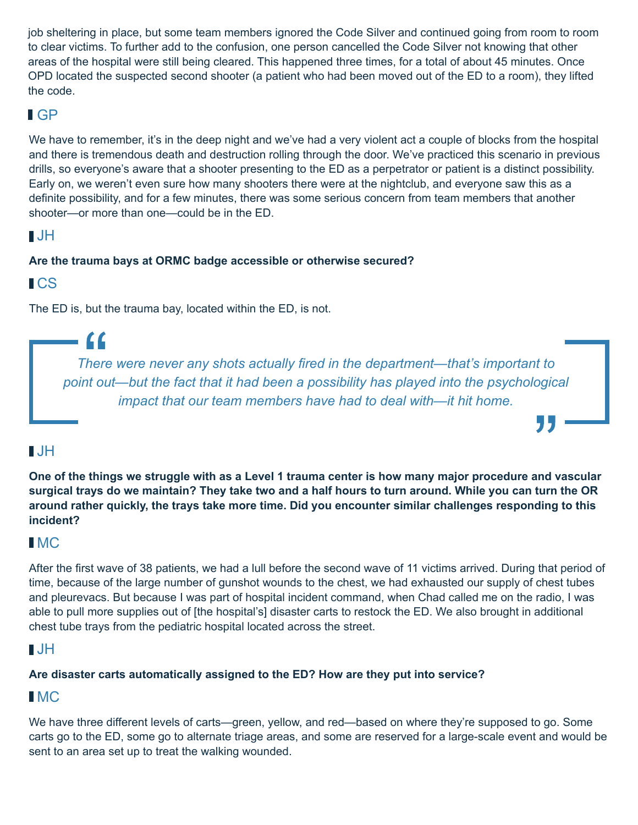job sheltering in place, but some team members ignored the Code Silver and continued going from room to room to clear victims. To further add to the confusion, one person cancelled the Code Silver not knowing that other areas of the hospital were still being cleared. This happened three times, for a total of about 45 minutes. Once OPD located the suspected second shooter (a patient who had been moved out of the ED to a room), they lifted the code.

### GP

We have to remember, it's in the deep night and we've had a very violent act a couple of blocks from the hospital and there is tremendous death and destruction rolling through the door. We've practiced this scenario in previous drills, so everyone's aware that a shooter presenting to the ED as a perpetrator or patient is a distinct possibility. Early on, we weren't even sure how many shooters there were at the nightclub, and everyone saw this as a definite possibility, and for a few minutes, there was some serious concern from team members that another shooter—or more than one—could be in the ED.

# JH

#### **Are the trauma bays at ORMC badge accessible or otherwise secured?**

**ICS** 

 $\epsilon$ 

The ED is, but the trauma bay, located within the ED, is not.

*There were never any shots actually fired in the department—that's important to point out—but the fact that it had been a possibility has played into the psychological impact that our team members have had to deal with—it hit home.*

# $\blacksquare$

**One of the things we struggle with as a Level 1 trauma center is how many major procedure and vascular surgical trays do we maintain? They take two and a half hours to turn around. While you can turn the OR around rather quickly, the trays take more time. Did you encounter similar challenges responding to this incident?**

### **I**MC

After the first wave of 38 patients, we had a lull before the second wave of 11 victims arrived. During that period of time, because of the large number of gunshot wounds to the chest, we had exhausted our supply of chest tubes and pleurevacs. But because I was part of hospital incident command, when Chad called me on the radio, I was able to pull more supplies out of [the hospital's] disaster carts to restock the ED. We also brought in additional chest tube trays from the pediatric hospital located across the street.

# $\blacksquare$ JH

#### **Are disaster carts automatically assigned to the ED? How are they put into service?**

### **I**MC

We have three different levels of carts—green, yellow, and red—based on where they're supposed to go. Some carts go to the ED, some go to alternate triage areas, and some are reserved for a large-scale event and would be sent to an area set up to treat the walking wounded.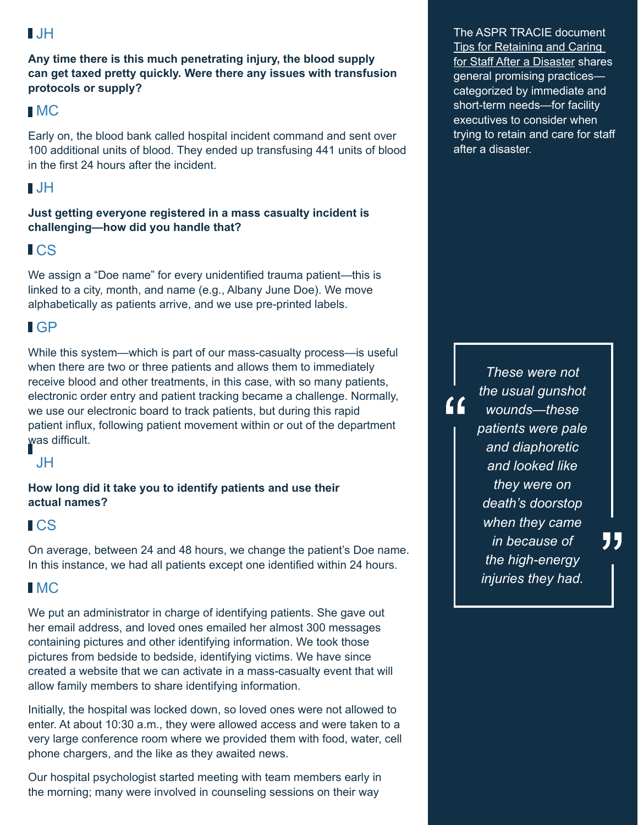#### JH

**Any time there is this much penetrating injury, the blood supply can get taxed pretty quickly. Were there any issues with transfusion protocols or supply?**

#### **IMC**

Early on, the blood bank called hospital incident command and sent over 100 additional units of blood. They ended up transfusing 441 units of blood in the first 24 hours after the incident.

### $\blacksquare$ . JH

**Just getting everyone registered in a mass casualty incident is challenging—how did you handle that?**

### CS

We assign a "Doe name" for every unidentified trauma patient—this is linked to a city, month, and name (e.g., Albany June Doe). We move alphabetically as patients arrive, and we use pre-printed labels.

# GP

While this system—which is part of our mass-casualty process—is useful when there are two or three patients and allows them to immediately receive blood and other treatments, in this case, with so many patients, electronic order entry and patient tracking became a challenge. Normally, we use our electronic board to track patients, but during this rapid patient influx, following patient movement within or out of the department was difficult.



**How long did it take you to identify patients and use their actual names?**

### CS

On average, between 24 and 48 hours, we change the patient's Doe name. In this instance, we had all patients except one identified within 24 hours.

### **IMC**

We put an administrator in charge of identifying patients. She gave out her email address, and loved ones emailed her almost 300 messages containing pictures and other identifying information. We took those pictures from bedside to bedside, identifying victims. We have since created a website that we can activate in a mass-casualty event that will allow family members to share identifying information.

Initially, the hospital was locked down, so loved ones were not allowed to enter. At about 10:30 a.m., they were allowed access and were taken to a very large conference room where we provided them with food, water, cell phone chargers, and the like as they awaited news.

Our hospital psychologist started meeting with team members early in the morning; many were involved in counseling sessions on their way

The ASPR TRACIE document [Tips for Retaining and Caring](https://asprtracie.hhs.gov/documents/tips-for-retaining-and-caring-for-staff-after-disaster.pdf)  [for Staff After a Disaster](https://asprtracie.hhs.gov/documents/tips-for-retaining-and-caring-for-staff-after-disaster.pdf) shares general promising practices categorized by immediate and short-term needs—for facility executives to consider when trying to retain and care for staff after a disaster.

> *These were not the usual gunshot wounds—these patients were pale and diaphoretic and looked like they were on death's doorstop when they came in because of the high-energy injuries they had.*

"

 $\overline{11}$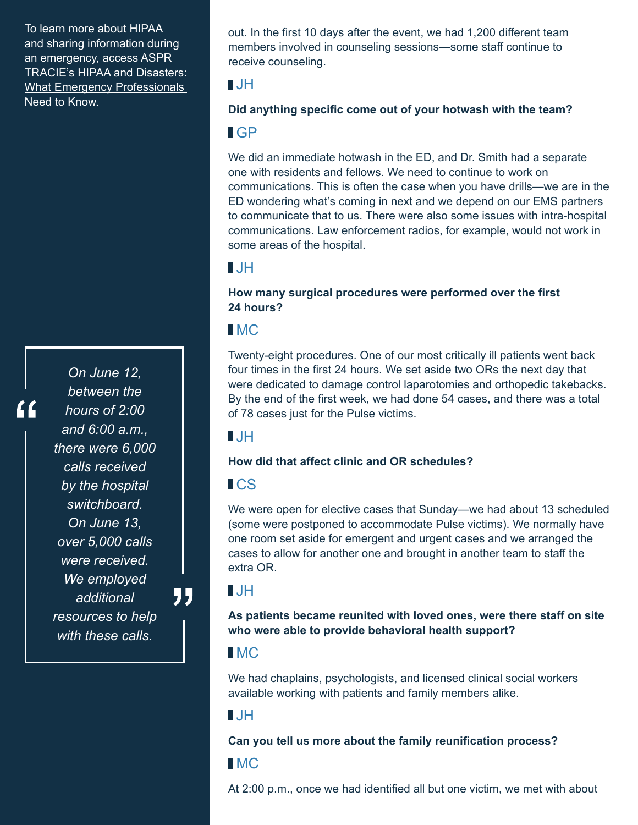To learn more about HIPAA and sharing information during an emergency, access ASPR TRACIE's [HIPAA and Disasters:](https://asprtracie.hhs.gov/documents/aspr-tracie-hipaa-emergency-fact-sheet.pdf)  [What Emergency Professionals](https://asprtracie.hhs.gov/documents/aspr-tracie-hipaa-emergency-fact-sheet.pdf)  [Need to Know.](https://asprtracie.hhs.gov/documents/aspr-tracie-hipaa-emergency-fact-sheet.pdf)

*On June 12, between the hours of 2:00 and 6:00 a.m., there were 6,000 calls received by the hospital switchboard. On June 13, over 5,000 calls were received. We employed additional resources to help with these calls.*

out. In the first 10 days after the event, we had 1,200 different team members involved in counseling sessions—some staff continue to receive counseling.

#### $\blacksquare$  JH

#### **Did anything specific come out of your hotwash with the team?**

#### GP

We did an immediate hotwash in the ED, and Dr. Smith had a separate one with residents and fellows. We need to continue to work on communications. This is often the case when you have drills—we are in the ED wondering what's coming in next and we depend on our EMS partners to communicate that to us. There were also some issues with intra-hospital communications. Law enforcement radios, for example, would not work in some areas of the hospital.

### $\blacksquare$

#### **How many surgical procedures were performed over the first 24 hours?**

#### MC

Twenty-eight procedures. One of our most critically ill patients went back four times in the first 24 hours. We set aside two ORs the next day that were dedicated to damage control laparotomies and orthopedic takebacks. By the end of the first week, we had done 54 cases, and there was a total of 78 cases just for the Pulse victims.

#### $\blacksquare$

#### **How did that affect clinic and OR schedules?**

### **ICS**

We were open for elective cases that Sunday—we had about 13 scheduled (some were postponed to accommodate Pulse victims). We normally have one room set aside for emergent and urgent cases and we arranged the cases to allow for another one and brought in another team to staff the extra OR.

### JH

"

**As patients became reunited with loved ones, were there staff on site who were able to provide behavioral health support?**

### **I**MC

We had chaplains, psychologists, and licensed clinical social workers available working with patients and family members alike.

# JH

#### **Can you tell us more about the family reunification process?**

### **IMC**

At 2:00 p.m., once we had identified all but one victim, we met with about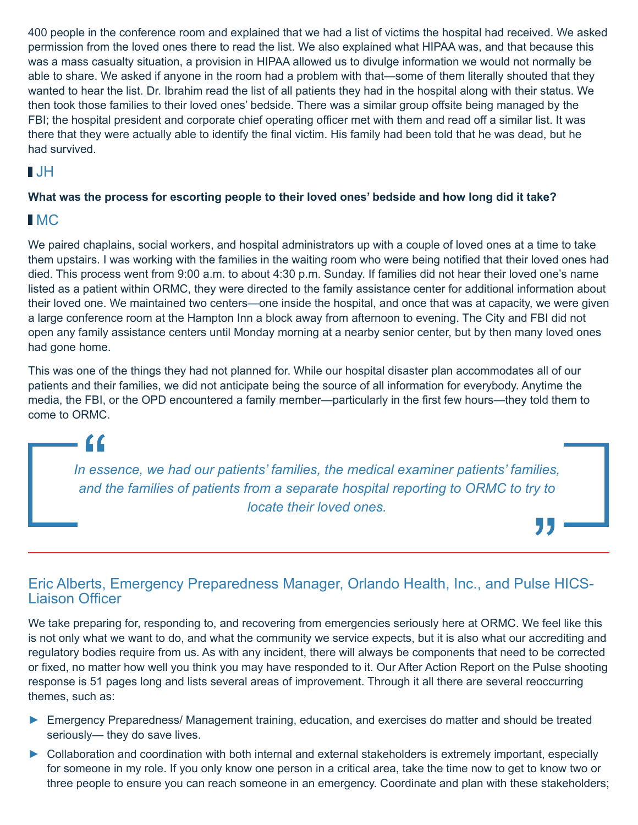400 people in the conference room and explained that we had a list of victims the hospital had received. We asked permission from the loved ones there to read the list. We also explained what HIPAA was, and that because this was a mass casualty situation, a provision in HIPAA allowed us to divulge information we would not normally be able to share. We asked if anyone in the room had a problem with that—some of them literally shouted that they wanted to hear the list. Dr. Ibrahim read the list of all patients they had in the hospital along with their status. We then took those families to their loved ones' bedside. There was a similar group offsite being managed by the FBI; the hospital president and corporate chief operating officer met with them and read off a similar list. It was there that they were actually able to identify the final victim. His family had been told that he was dead, but he had survived.

# JH

#### **What was the process for escorting people to their loved ones' bedside and how long did it take?**

### **IMC**

We paired chaplains, social workers, and hospital administrators up with a couple of loved ones at a time to take them upstairs. I was working with the families in the waiting room who were being notified that their loved ones had died. This process went from 9:00 a.m. to about 4:30 p.m. Sunday. If families did not hear their loved one's name listed as a patient within ORMC, they were directed to the family assistance center for additional information about their loved one. We maintained two centers—one inside the hospital, and once that was at capacity, we were given a large conference room at the Hampton Inn a block away from afternoon to evening. The City and FBI did not open any family assistance centers until Monday morning at a nearby senior center, but by then many loved ones had gone home.

This was one of the things they had not planned for. While our hospital disaster plan accommodates all of our patients and their families, we did not anticipate being the source of all information for everybody. Anytime the media, the FBI, or the OPD encountered a family member—particularly in the first few hours—they told them to come to ORMC.

*In essence, we had our patients' families, the medical examiner patients' families, and the families of patients from a separate hospital reporting to ORMC to try to locate their loved ones.*

#### Eric Alberts, Emergency Preparedness Manager, Orlando Health, Inc., and Pulse HICS-Liaison Officer

We take preparing for, responding to, and recovering from emergencies seriously here at ORMC. We feel like this is not only what we want to do, and what the community we service expects, but it is also what our accrediting and regulatory bodies require from us. As with any incident, there will always be components that need to be corrected or fixed, no matter how well you think you may have responded to it. Our After Action Report on the Pulse shooting response is 51 pages long and lists several areas of improvement. Through it all there are several reoccurring themes, such as:

- ► Emergency Preparedness/ Management training, education, and exercises do matter and should be treated seriously— they do save lives.
- **►** Collaboration and coordination with both internal and external stakeholders is extremely important, especially for someone in my role. If you only know one person in a critical area, take the time now to get to know two or three people to ensure you can reach someone in an emergency. Coordinate and plan with these stakeholders;